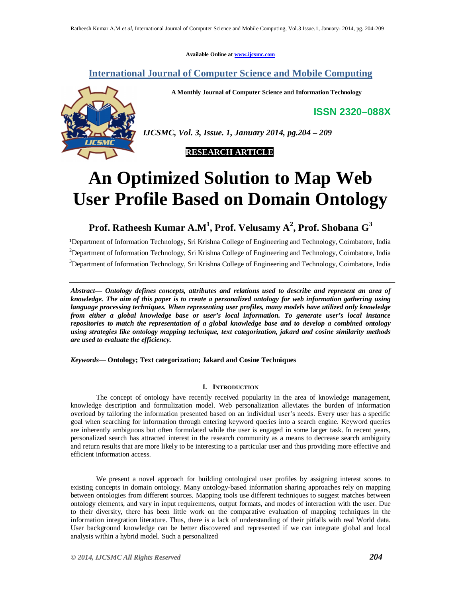**Available Online at www.ijcsmc.com**

# **International Journal of Computer Science and Mobile Computing**

**A Monthly Journal of Computer Science and Information Technology**

**ISSN 2320–088X**



*IJCSMC, Vol. 3, Issue. 1, January 2014, pg.204 – 209*

# **An Optimized Solution to Map Web User Profile Based on Domain Ontology**

**Prof. Ratheesh Kumar A.M<sup>1</sup> , Prof. Velusamy A<sup>2</sup> , Prof. Shobana G<sup>3</sup>**

<sup>1</sup>Department of Information Technology, Sri Krishna College of Engineering and Technology, Coimbatore, India <sup>2</sup>Department of Information Technology, Sri Krishna College of Engineering and Technology, Coimbatore, India <sup>3</sup>Department of Information Technology, Sri Krishna College of Engineering and Technology, Coimbatore, India

*Abstract— Ontology defines concepts, attributes and relations used to describe and represent an area of knowledge. The aim of this paper is to create a personalized ontology for web information gathering using language processing techniques. When representing user profiles, many models have utilized only knowledge from either a global knowledge base or user's local information. To generate user's local instance repositories to match the representation of a global knowledge base and to develop a combined ontology using strategies like ontology mapping technique, text categorization, jakard and cosine similarity methods are used to evaluate the efficiency.* 

*Keywords*— **Ontology; Text categorization; Jakard and Cosine Techniques**

# **I. INTRODUCTION**

The concept of ontology have recently received popularity in the area of knowledge management, knowledge description and formulization model. Web personalization alleviates the burden of information overload by tailoring the information presented based on an individual user's needs. Every user has a specific goal when searching for information through entering keyword queries into a search engine. Keyword queries are inherently ambiguous but often formulated while the user is engaged in some larger task. In recent years, personalized search has attracted interest in the research community as a means to decrease search ambiguity and return results that are more likely to be interesting to a particular user and thus providing more effective and efficient information access.

We present a novel approach for building ontological user profiles by assigning interest scores to existing concepts in domain ontology. Many ontology-based information sharing approaches rely on mapping between ontologies from different sources. Mapping tools use different techniques to suggest matches between ontology elements, and vary in input requirements, output formats, and modes of interaction with the user. Due to their diversity, there has been little work on the comparative evaluation of mapping techniques in the information integration literature. Thus, there is a lack of understanding of their pitfalls with real World data. User background knowledge can be better discovered and represented if we can integrate global and local analysis within a hybrid model. Such a personalized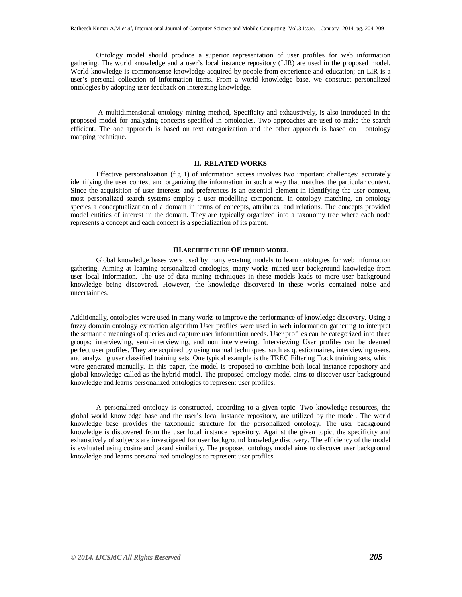Ontology model should produce a superior representation of user profiles for web information gathering. The world knowledge and a user's local instance repository (LIR) are used in the proposed model. World knowledge is commonsense knowledge acquired by people from experience and education; an LIR is a user's personal collection of information items. From a world knowledge base, we construct personalized ontologies by adopting user feedback on interesting knowledge.

A multidimensional ontology mining method, Specificity and exhaustively, is also introduced in the proposed model for analyzing concepts specified in ontologies. Two approaches are used to make the search efficient. The one approach is based on text categorization and the other approach is based on ontology mapping technique.

## **II. RELATED WORKS**

Effective personalization (fig 1) of information access involves two important challenges: accurately identifying the user context and organizing the information in such a way that matches the particular context. Since the acquisition of user interests and preferences is an essential element in identifying the user context, most personalized search systems employ a user modelling component. In ontology matching, an ontology species a conceptualization of a domain in terms of concepts, attributes, and relations. The concepts provided model entities of interest in the domain. They are typically organized into a taxonomy tree where each node represents a concept and each concept is a specialization of its parent.

# **III.ARCHITECTURE OF HYBRID MODEL**

Global knowledge bases were used by many existing models to learn ontologies for web information gathering. Aiming at learning personalized ontologies, many works mined user background knowledge from user local information. The use of data mining techniques in these models leads to more user background knowledge being discovered. However, the knowledge discovered in these works contained noise and uncertainties.

Additionally, ontologies were used in many works to improve the performance of knowledge discovery. Using a fuzzy domain ontology extraction algorithm User profiles were used in web information gathering to interpret the semantic meanings of queries and capture user information needs. User profiles can be categorized into three groups: interviewing, semi-interviewing, and non interviewing. Interviewing User profiles can be deemed perfect user profiles. They are acquired by using manual techniques, such as questionnaires, interviewing users, and analyzing user classified training sets. One typical example is the TREC Filtering Track training sets, which were generated manually. In this paper, the model is proposed to combine both local instance repository and global knowledge called as the hybrid model. The proposed ontology model aims to discover user background knowledge and learns personalized ontologies to represent user profiles.

A personalized ontology is constructed, according to a given topic. Two knowledge resources, the global world knowledge base and the user's local instance repository, are utilized by the model. The world knowledge base provides the taxonomic structure for the personalized ontology. The user background knowledge is discovered from the user local instance repository. Against the given topic, the specificity and exhaustively of subjects are investigated for user background knowledge discovery. The efficiency of the model is evaluated using cosine and jakard similarity. The proposed ontology model aims to discover user background knowledge and learns personalized ontologies to represent user profiles.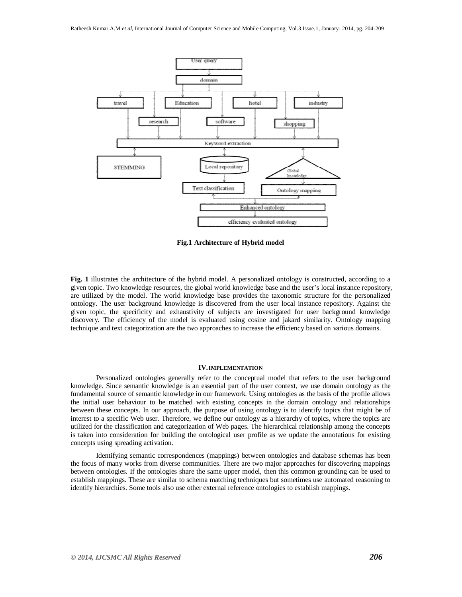

**Fig.1 Architecture of Hybrid model**

**Fig. 1** illustrates the architecture of the hybrid model. A personalized ontology is constructed, according to a given topic. Two knowledge resources, the global world knowledge base and the user's local instance repository, are utilized by the model. The world knowledge base provides the taxonomic structure for the personalized ontology. The user background knowledge is discovered from the user local instance repository. Against the given topic, the specificity and exhaustivity of subjects are investigated for user background knowledge discovery. The efficiency of the model is evaluated using cosine and jakard similarity. Ontology mapping technique and text categorization are the two approaches to increase the efficiency based on various domains.

#### **IV.IMPLEMENTATION**

Personalized ontologies generally refer to the conceptual model that refers to the user background knowledge. Since semantic knowledge is an essential part of the user context, we use domain ontology as the fundamental source of semantic knowledge in our framework. Using ontologies as the basis of the profile allows the initial user behaviour to be matched with existing concepts in the domain ontology and relationships between these concepts. In our approach, the purpose of using ontology is to identify topics that might be of interest to a specific Web user. Therefore, we define our ontology as a hierarchy of topics, where the topics are utilized for the classification and categorization of Web pages. The hierarchical relationship among the concepts is taken into consideration for building the ontological user profile as we update the annotations for existing concepts using spreading activation.

Identifying semantic correspondences (mappings) between ontologies and database schemas has been the focus of many works from diverse communities. There are two major approaches for discovering mappings between ontologies. If the ontologies share the same upper model, then this common grounding can be used to establish mappings. These are similar to schema matching techniques but sometimes use automated reasoning to identify hierarchies. Some tools also use other external reference ontologies to establish mappings.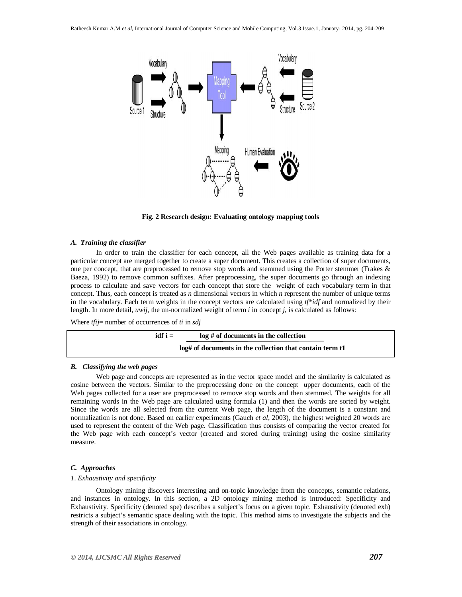

**Fig. 2 Research design: Evaluating ontology mapping tools**

#### *A. Training the classifier*

In order to train the classifier for each concept, all the Web pages available as training data for a particular concept are merged together to create a super document. This creates a collection of super documents, one per concept, that are preprocessed to remove stop words and stemmed using the Porter stemmer (Frakes & Baeza, 1992) to remove common suffixes. After preprocessing, the super documents go through an indexing process to calculate and save vectors for each concept that store the weight of each vocabulary term in that concept. Thus, each concept is treated as *n* dimensional vectors in which *n* represent the number of unique terms in the vocabulary. Each term weights in the concept vectors are calculated using *tf\*idf* and normalized by their length. In more detail, *uwij*, the un-normalized weight of term *i* in concept *j*, is calculated as follows:

Where *tfij*= number of occurrences of *ti* in *sdj*



#### *B. Classifying the web pages*

Web page and concepts are represented as in the vector space model and the similarity is calculated as cosine between the vectors. Similar to the preprocessing done on the concept upper documents, each of the Web pages collected for a user are preprocessed to remove stop words and then stemmed. The weights for all remaining words in the Web page are calculated using formula (1) and then the words are sorted by weight. Since the words are all selected from the current Web page, the length of the document is a constant and normalization is not done. Based on earlier experiments (Gauch *et al*, 2003), the highest weighted 20 words are used to represent the content of the Web page. Classification thus consists of comparing the vector created for the Web page with each concept's vector (created and stored during training) using the cosine similarity measure.

# *C. Approaches*

#### *1*. *Exhaustivity and specificity*

Ontology mining discovers interesting and on-topic knowledge from the concepts, semantic relations, and instances in ontology. In this section, a 2D ontology mining method is introduced: Specificity and Exhaustivity. Specificity (denoted spe) describes a subject's focus on a given topic. Exhaustivity (denoted exh) restricts a subject's semantic space dealing with the topic. This method aims to investigate the subjects and the strength of their associations in ontology.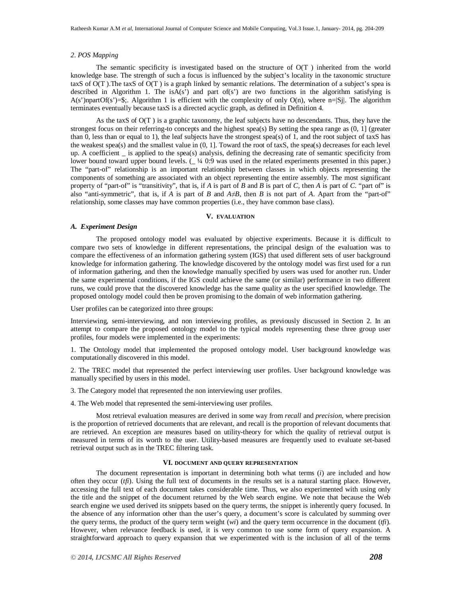# *2*. *POS Mapping*

The semantic specificity is investigated based on the structure of O(T ) inherited from the world knowledge base. The strength of such a focus is influenced by the subject's locality in the taxonomic structure taxS of O(T ).The taxS of O(T ) is a graph linked by semantic relations. The determination of a subject's spea is described in Algorithm 1. The is $\overrightarrow{A}(s^2)$  and part of(s') are two functions in the algorithm satisfying is A(s')npartOf(s')=\$;. Algorithm 1 is efficient with the complexity of only O(n), where n=|Sj|. The algorithm terminates eventually because taxS is a directed acyclic graph, as defined in Definition 4.

As the taxS of O(T ) is a graphic taxonomy, the leaf subjects have no descendants. Thus, they have the strongest focus on their referring-to concepts and the highest spea(s) By setting the spea range as (0, 1] (greater than 0, less than or equal to 1), the leaf subjects have the strongest spea(s) of 1, and the root subject of taxS has the weakest spea(s) and the smallest value in (0, 1]. Toward the root of taxS, the spea(s) decreases for each level up. A coefficient \_ is applied to the spea(s) analysis, defining the decreasing rate of semantic specificity from lower bound toward upper bound levels.  $($   $\frac{1}{4}$  0:9 was used in the related experiments presented in this paper.) The "part-of" relationship is an important relationship between classes in which objects representing the components of something are associated with an object representing the entire assembly. The most significant property of "part-of" is "transitivity", that is, if *A* is part of *B* and *B* is part of *C*, then *A* is part of *C*. "part of" is also "anti-symmetric", that is, if *A* is part of *B* and  $A \neq B$ , then *B* is not part of *A*. Apart from the "part-of" relationship, some classes may have common properties (i.e., they have common base class).

# **V. EVALUATION**

#### *A. Experiment Design*

The proposed ontology model was evaluated by objective experiments. Because it is difficult to compare two sets of knowledge in different representations, the principal design of the evaluation was to compare the effectiveness of an information gathering system (IGS) that used different sets of user background knowledge for information gathering. The knowledge discovered by the ontology model was first used for a run of information gathering, and then the knowledge manually specified by users was used for another run. Under the same experimental conditions, if the IGS could achieve the same (or similar) performance in two different runs, we could prove that the discovered knowledge has the same quality as the user specified knowledge. The proposed ontology model could then be proven promising to the domain of web information gathering.

User profiles can be categorized into three groups:

Interviewing, semi-interviewing, and non interviewing profiles, as previously discussed in Section 2. In an attempt to compare the proposed ontology model to the typical models representing these three group user profiles, four models were implemented in the experiments:

1. The Ontology model that implemented the proposed ontology model. User background knowledge was computationally discovered in this model.

2. The TREC model that represented the perfect interviewing user profiles. User background knowledge was manually specified by users in this model.

3. The Category model that represented the non interviewing user profiles.

4. The Web model that represented the semi-interviewing user profiles.

Most retrieval evaluation measures are derived in some way from *recall* and *precision*, where precision is the proportion of retrieved documents that are relevant, and recall is the proportion of relevant documents that are retrieved. An exception are measures based on utility-theory for which the quality of retrieval output is measured in terms of its worth to the user. Utility-based measures are frequently used to evaluate set-based retrieval output such as in the TREC filtering task.

# **VI. DOCUMENT AND QUERY REPRESENTATION**

The document representation is important in determining both what terms (*i*) are included and how often they occur (*tfi*). Using the full text of documents in the results set is a natural starting place. However, accessing the full text of each document takes considerable time. Thus, we also experimented with using only the title and the snippet of the document returned by the Web search engine. We note that because the Web search engine we used derived its snippets based on the query terms, the snippet is inherently query focused. In the absence of any information other than the user's query, a document's score is calculated by summing over the query terms, the product of the query term weight  $(wi)$  and the query term occurrence in the document  $(f\tilde{i})$ . However, when relevance feedback is used, it is very common to use some form of query expansion. A straightforward approach to query expansion that we experimented with is the inclusion of all of the terms